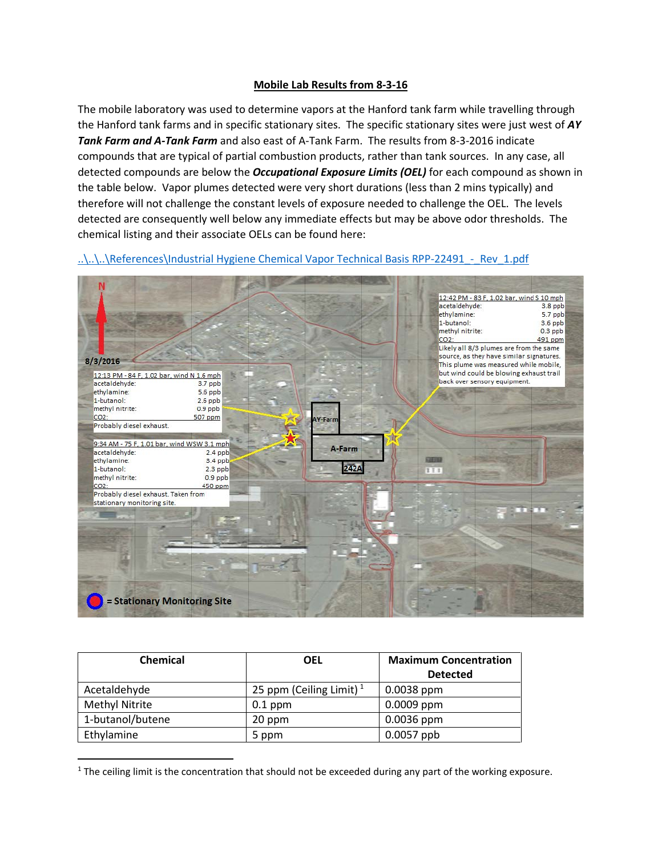## **Mobile Lab Results from 8-3-16**

The mobile laboratory was used to determine vapors at the Hanford tank farm while travelling through the Hanford tank farms and in specific stationary sites. The specific stationary sites were just west of *AY Tank Farm and A-Tank Farm* and also east of A-Tank Farm. The results from 8-3-2016 indicate compounds that are typical of partial combustion products, rather than tank sources. In any case, all detected compounds are below the *Occupational Exposure Limits (OEL)* for each compound as shown in the table below. Vapor plumes detected were very short durations (less than 2 mins typically) and therefore will not challenge the constant levels of exposure needed to challenge the OEL. The levels detected are consequently well below any immediate effects but may be above odor thresholds. The chemical listing and their associate OELs can be found here:

..\..\..\References\Industrial Hygiene Chemical Vapor Technical Basis RPP-22491 - Rev\_1.pdf



| <b>Chemical</b>       | <b>OEL</b>                          | <b>Maximum Concentration</b> |
|-----------------------|-------------------------------------|------------------------------|
|                       |                                     | <b>Detected</b>              |
| Acetaldehyde          | 25 ppm (Ceiling Limit) <sup>1</sup> | $0.0038$ ppm                 |
| <b>Methyl Nitrite</b> | $0.1$ ppm                           | $0.0009$ ppm                 |
| 1-butanol/butene      | 20 ppm                              | $0.0036$ ppm                 |
| Ethylamine            | 5 ppm                               | $0.0057$ ppb                 |

<span id="page-0-0"></span> $1$  The ceiling limit is the concentration that should not be exceeded during any part of the working exposure.